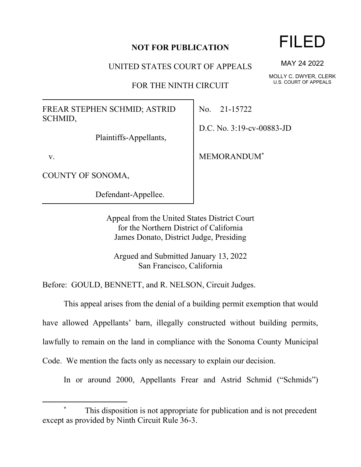## **NOT FOR PUBLICATION**

UNITED STATES COURT OF APPEALS

FOR THE NINTH CIRCUIT

FREAR STEPHEN SCHMID; ASTRID SCHMID,

Plaintiffs-Appellants,

v.

COUNTY OF SONOMA,

Defendant-Appellee.

No. 21-15722

D.C. No. 3:19-cv-00883-JD

MEMORANDUM\*

Appeal from the United States District Court for the Northern District of California James Donato, District Judge, Presiding

Argued and Submitted January 13, 2022 San Francisco, California

Before: GOULD, BENNETT, and R. NELSON, Circuit Judges.

This appeal arises from the denial of a building permit exemption that would

have allowed Appellants' barn, illegally constructed without building permits,

lawfully to remain on the land in compliance with the Sonoma County Municipal

Code. We mention the facts only as necessary to explain our decision.

In or around 2000, Appellants Frear and Astrid Schmid ("Schmids")

## FILED

MAY 24 2022

MOLLY C. DWYER, CLERK U.S. COURT OF APPEALS

This disposition is not appropriate for publication and is not precedent except as provided by Ninth Circuit Rule 36-3.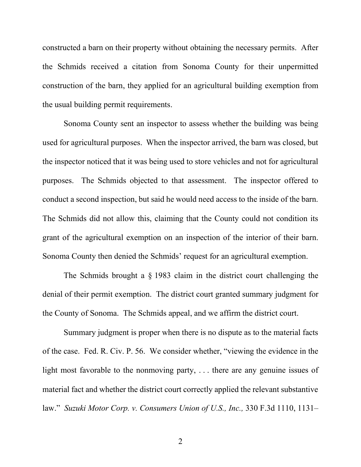constructed a barn on their property without obtaining the necessary permits. After the Schmids received a citation from Sonoma County for their unpermitted construction of the barn, they applied for an agricultural building exemption from the usual building permit requirements.

Sonoma County sent an inspector to assess whether the building was being used for agricultural purposes. When the inspector arrived, the barn was closed, but the inspector noticed that it was being used to store vehicles and not for agricultural purposes. The Schmids objected to that assessment. The inspector offered to conduct a second inspection, but said he would need access to the inside of the barn. The Schmids did not allow this, claiming that the County could not condition its grant of the agricultural exemption on an inspection of the interior of their barn. Sonoma County then denied the Schmids' request for an agricultural exemption.

The Schmids brought a § 1983 claim in the district court challenging the denial of their permit exemption. The district court granted summary judgment for the County of Sonoma. The Schmids appeal, and we affirm the district court.

Summary judgment is proper when there is no dispute as to the material facts of the case. Fed. R. Civ. P. 56. We consider whether, "viewing the evidence in the light most favorable to the nonmoving party, . . . there are any genuine issues of material fact and whether the district court correctly applied the relevant substantive law." *Suzuki Motor Corp. v. Consumers Union of U.S., Inc.,* 330 F.3d 1110, 1131–

2 a set of  $\sim$  2 a set of  $\sim$  2 a set of  $\sim$  2 a set of  $\sim$  3 a set of  $\sim$  3 a set of  $\sim$  3 a set of  $\sim$  3 a set of  $\sim$  3 a set of  $\sim$  3 a set of  $\sim$  3 a set of  $\sim$  3 a set of  $\sim$  3 a set of  $\sim$  3 a set of  $\sim$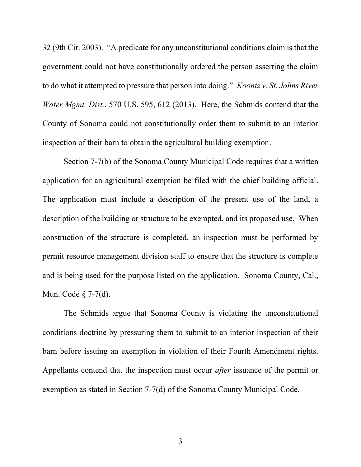32 (9th Cir. 2003). "A predicate for any unconstitutional conditions claim is that the government could not have constitutionally ordered the person asserting the claim to do what it attempted to pressure that person into doing." *Koontz v. St. Johns River Water Mgmt. Dist.*, 570 U.S. 595, 612 (2013). Here, the Schmids contend that the County of Sonoma could not constitutionally order them to submit to an interior inspection of their barn to obtain the agricultural building exemption.

Section 7-7(b) of the Sonoma County Municipal Code requires that a written application for an agricultural exemption be filed with the chief building official. The application must include a description of the present use of the land, a description of the building or structure to be exempted, and its proposed use. When construction of the structure is completed, an inspection must be performed by permit resource management division staff to ensure that the structure is complete and is being used for the purpose listed on the application. Sonoma County, Cal., Mun. Code § 7-7(d).

The Schmids argue that Sonoma County is violating the unconstitutional conditions doctrine by pressuring them to submit to an interior inspection of their barn before issuing an exemption in violation of their Fourth Amendment rights. Appellants contend that the inspection must occur *after* issuance of the permit or exemption as stated in Section 7-7(d) of the Sonoma County Municipal Code.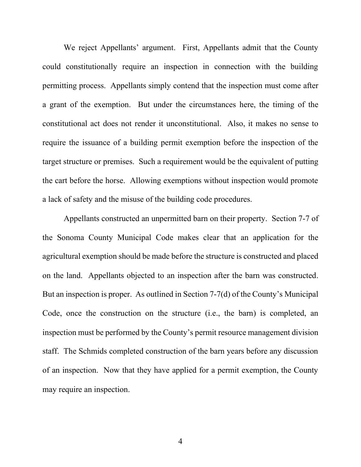We reject Appellants' argument. First, Appellants admit that the County could constitutionally require an inspection in connection with the building permitting process.Appellants simply contend that the inspection must come after a grant of the exemption. But under the circumstances here, the timing of the constitutional act does not render it unconstitutional. Also, it makes no sense to require the issuance of a building permit exemption before the inspection of the target structure or premises. Such a requirement would be the equivalent of putting the cart before the horse. Allowing exemptions without inspection would promote a lack of safety and the misuse of the building code procedures.

Appellants constructed an unpermitted barn on their property. Section 7-7 of the Sonoma County Municipal Code makes clear that an application for the agricultural exemption should be made before the structure is constructed and placed on the land. Appellants objected to an inspection after the barn was constructed. But an inspection is proper. As outlined in Section 7-7(d) of the County's Municipal Code, once the construction on the structure (i.e., the barn) is completed, an inspection must be performed by the County's permit resource management division staff. The Schmids completed construction of the barn years before any discussion of an inspection. Now that they have applied for a permit exemption, the County may require an inspection.